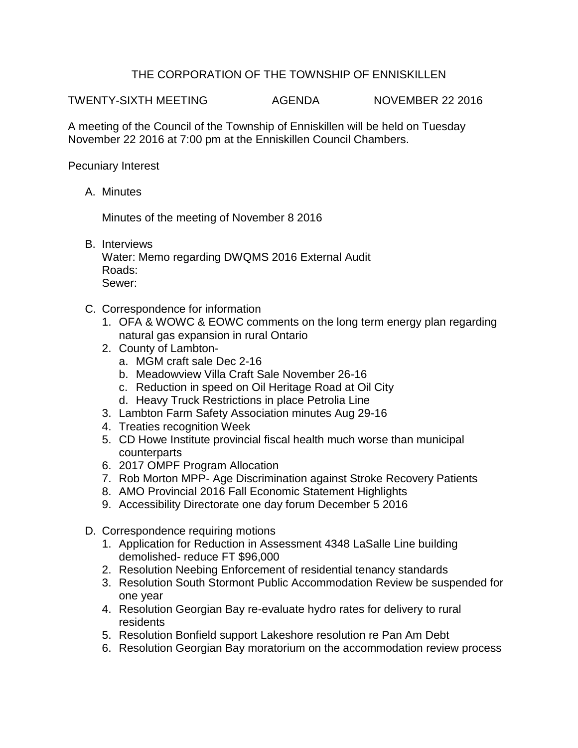## THE CORPORATION OF THE TOWNSHIP OF ENNISKILLEN

TWENTY-SIXTH MEETING AGENDA NOVEMBER 22 2016

A meeting of the Council of the Township of Enniskillen will be held on Tuesday November 22 2016 at 7:00 pm at the Enniskillen Council Chambers.

Pecuniary Interest

A. Minutes

Minutes of the meeting of November 8 2016

B. Interviews

Water: Memo regarding DWQMS 2016 External Audit Roads: Sewer:

- C. Correspondence for information
	- 1. OFA & WOWC & EOWC comments on the long term energy plan regarding natural gas expansion in rural Ontario
	- 2. County of Lambton
		- a. MGM craft sale Dec 2-16
		- b. Meadowview Villa Craft Sale November 26-16
		- c. Reduction in speed on Oil Heritage Road at Oil City
		- d. Heavy Truck Restrictions in place Petrolia Line
	- 3. Lambton Farm Safety Association minutes Aug 29-16
	- 4. Treaties recognition Week
	- 5. CD Howe Institute provincial fiscal health much worse than municipal counterparts
	- 6. 2017 OMPF Program Allocation
	- 7. Rob Morton MPP- Age Discrimination against Stroke Recovery Patients
	- 8. AMO Provincial 2016 Fall Economic Statement Highlights
	- 9. Accessibility Directorate one day forum December 5 2016
- D. Correspondence requiring motions
	- 1. Application for Reduction in Assessment 4348 LaSalle Line building demolished- reduce FT \$96,000
	- 2. Resolution Neebing Enforcement of residential tenancy standards
	- 3. Resolution South Stormont Public Accommodation Review be suspended for one year
	- 4. Resolution Georgian Bay re-evaluate hydro rates for delivery to rural residents
	- 5. Resolution Bonfield support Lakeshore resolution re Pan Am Debt
	- 6. Resolution Georgian Bay moratorium on the accommodation review process